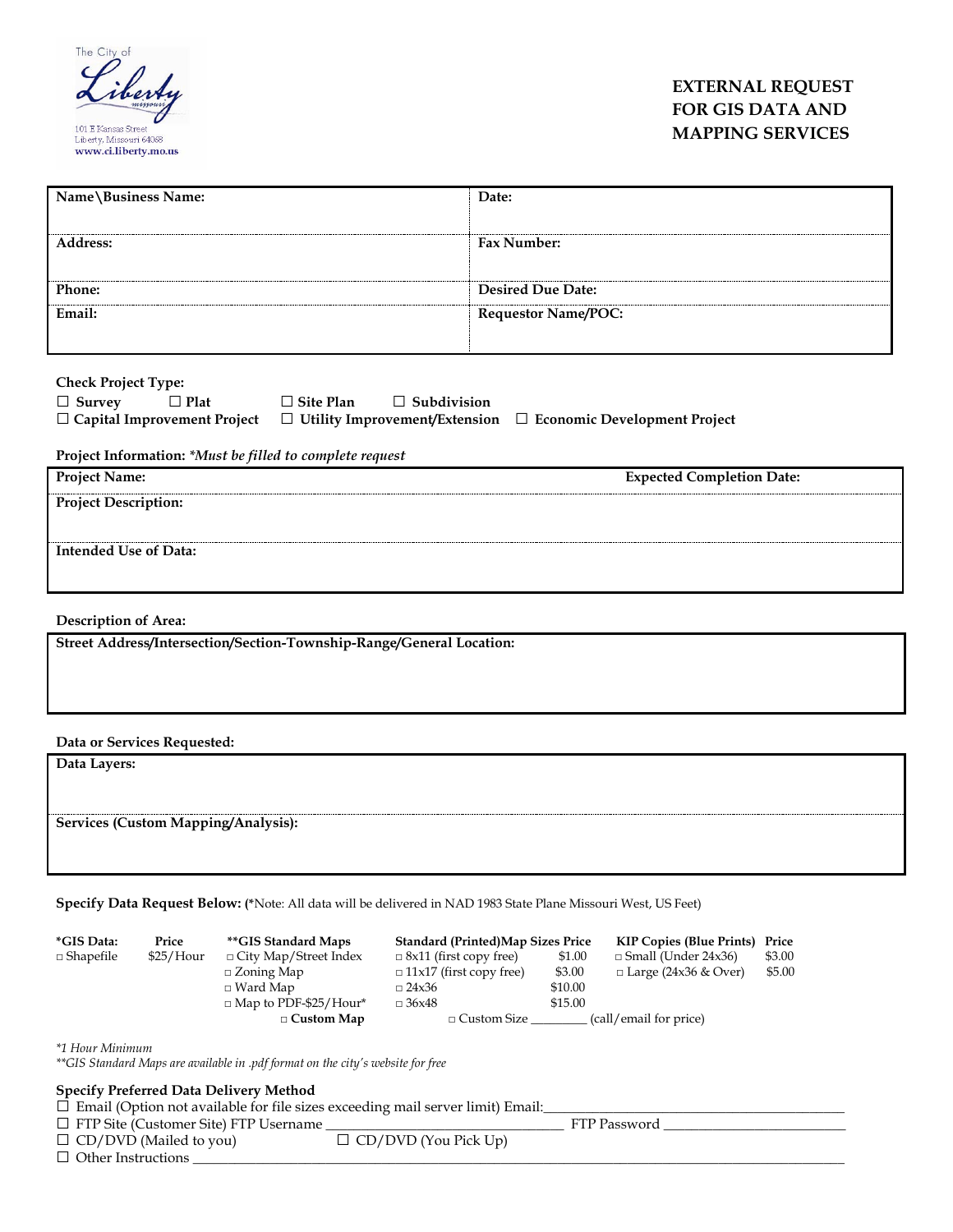

## **EXTERNAL REQUEST FOR GIS DATA AND MAPPING SERVICES**

| Name\Business Name: | Date:                      |
|---------------------|----------------------------|
| <b>Address:</b>     | Fax Number:                |
| <b>Phone:</b>       | <b>Desired Due Date:</b>   |
| Email:              | <b>Requestor Name/POC:</b> |

**Check Project Type:**

| $\Box$ Survey | $\Box$ Plat | $\Box$ Site Plan | $\Box$ Subdivision |                                                                                                             |
|---------------|-------------|------------------|--------------------|-------------------------------------------------------------------------------------------------------------|
|               |             |                  |                    | $\Box$ Capital Improvement Project $\Box$ Utility Improvement/Extension $\Box$ Economic Development Project |

**Project Information:** *\*Must be filled to complete request*

| <b>Project Name:</b>        | <b>Expected Completion Date:</b> |
|-----------------------------|----------------------------------|
| <b>Project Description:</b> |                                  |
| Intended Use of Data:       |                                  |

**Description of Area:** 

| Street Address/Intersection/Section-Township-Range/General Location: |  |
|----------------------------------------------------------------------|--|
|                                                                      |  |

**Data or Services Requested:**

**Data Layers: Services (Custom Mapping/Analysis):**

**Specify Data Request Below: (\***Note: All data will be delivered in NAD 1983 State Plane Missouri West, US Feet)

| <i>*GIS Data:</i> | Price     | <i><b>**GIS Standard Maps</b></i> | <b>Standard (Printed)Map Sizes Price</b> |         | <b>KIP Copies (Blue Prints) Price</b> |        |
|-------------------|-----------|-----------------------------------|------------------------------------------|---------|---------------------------------------|--------|
| $\Box$ Shapefile  | \$25/Hour | $\Box$ City Map/Street Index      | $\Box$ 8x11 (first copy free)            | \$1.00  | $\Box$ Small (Under 24x36)            | \$3.00 |
|                   |           | $\Box$ Zoning Map                 | $\Box$ 11x17 (first copy free)           | \$3.00  | $\Box$ Large (24x36 & Over)           | \$5.00 |
|                   |           | $\Box$ Ward Map                   | $\Box$ 24x36                             | \$10.00 |                                       |        |
|                   |           | $\Box$ Map to PDF-\$25/Hour*      | $\Box$ 36x48                             | \$15.00 |                                       |        |
|                   |           | $\Box$ Custom Map                 | $\Box$ Custom Size                       |         | (call/email for price)                |        |

*\*1 Hour Minimum*

*\*\*GIS Standard Maps are available in .pdf format on the city's website for free*

**Specify Preferred Data Delivery Method**<br>□ Email (Option not available for file sizes exceeding mail server limit) Email:\_\_\_\_\_\_\_\_\_\_\_\_\_\_\_\_\_\_\_\_\_\_\_\_\_\_\_\_\_\_\_\_\_

| □ FTP Site (Customer Site) FTP Username |                             | FTP Password |
|-----------------------------------------|-----------------------------|--------------|
| $\Box$ CD/DVD (Mailed to you)           | $\Box$ CD/DVD (You Pick Up) |              |
| $\Box$ Other Instructions               |                             |              |
|                                         |                             |              |